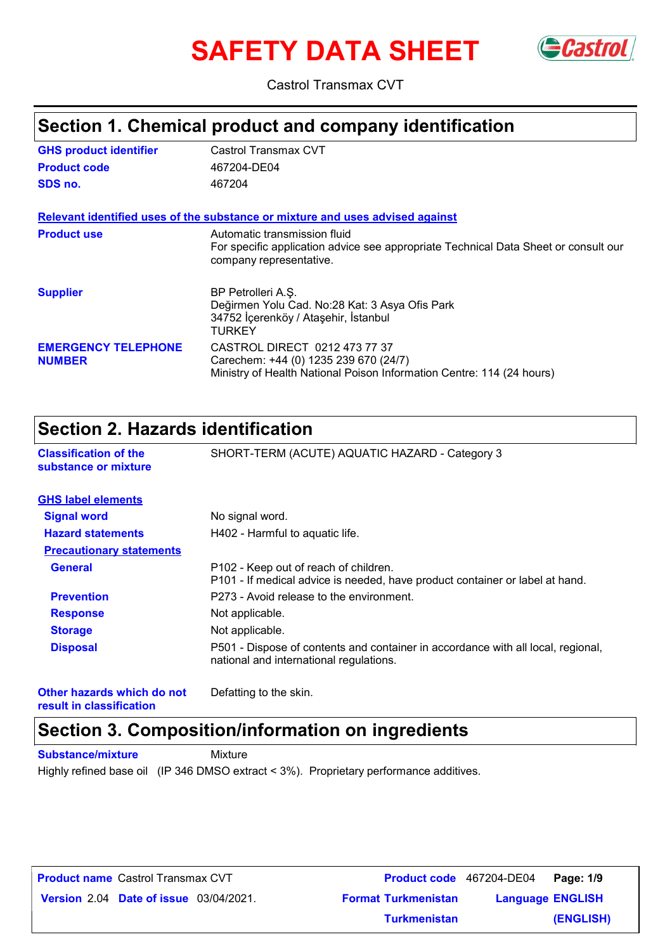# **SAFETY DATA SHEET** GCastrol



Castrol Transmax CVT

### **Section 1. Chemical product and company identification**

| <b>GHS product identifier</b>               | Castrol Transmax CVT                                                                                                                            |
|---------------------------------------------|-------------------------------------------------------------------------------------------------------------------------------------------------|
| <b>Product code</b>                         | 467204-DE04                                                                                                                                     |
| SDS no.                                     | 467204                                                                                                                                          |
|                                             | Relevant identified uses of the substance or mixture and uses advised against                                                                   |
| <b>Product use</b>                          | Automatic transmission fluid<br>For specific application advice see appropriate Technical Data Sheet or consult our<br>company representative.  |
| <b>Supplier</b>                             | BP Petrolleri A.S.<br>Değirmen Yolu Cad. No:28 Kat: 3 Asya Ofis Park<br>34752 İçerenköy / Ataşehir, İstanbul<br>TURKEY                          |
| <b>EMERGENCY TELEPHONE</b><br><b>NUMBER</b> | CASTROL DIRECT 0212 473 77 37<br>Carechem: +44 (0) 1235 239 670 (24/7)<br>Ministry of Health National Poison Information Centre: 114 (24 hours) |

### **Section 2. Hazards identification**

| <b>Classification of the</b>    | SHORT-TERM (ACUTE) AQUATIC HAZARD - Category 3                                                                              |
|---------------------------------|-----------------------------------------------------------------------------------------------------------------------------|
| substance or mixture            |                                                                                                                             |
| <b>GHS label elements</b>       |                                                                                                                             |
| <b>Signal word</b>              | No signal word.                                                                                                             |
| <b>Hazard statements</b>        | H402 - Harmful to aquatic life.                                                                                             |
| <b>Precautionary statements</b> |                                                                                                                             |
| <b>General</b>                  | P102 - Keep out of reach of children.<br>P101 - If medical advice is needed, have product container or label at hand.       |
| <b>Prevention</b>               | P273 - Avoid release to the environment.                                                                                    |
| <b>Response</b>                 | Not applicable.                                                                                                             |
| <b>Storage</b>                  | Not applicable.                                                                                                             |
| <b>Disposal</b>                 | P501 - Dispose of contents and container in accordance with all local, regional,<br>national and international regulations. |

**Other hazards which do not result in classification**

Defatting to the skin.

### **Section 3. Composition/information on ingredients**

**Substance/mixture Mixture** 

Highly refined base oil (IP 346 DMSO extract < 3%). Proprietary performance additives.

| <b>Product name</b> Castrol Transmax CVT      |                            | Product code 467204-DE04 Page: 1/9 |           |
|-----------------------------------------------|----------------------------|------------------------------------|-----------|
| <b>Version 2.04 Date of issue 03/04/2021.</b> | <b>Format Turkmenistan</b> | <b>Language ENGLISH</b>            |           |
|                                               | <b>Turkmenistan</b>        |                                    | (ENGLISH) |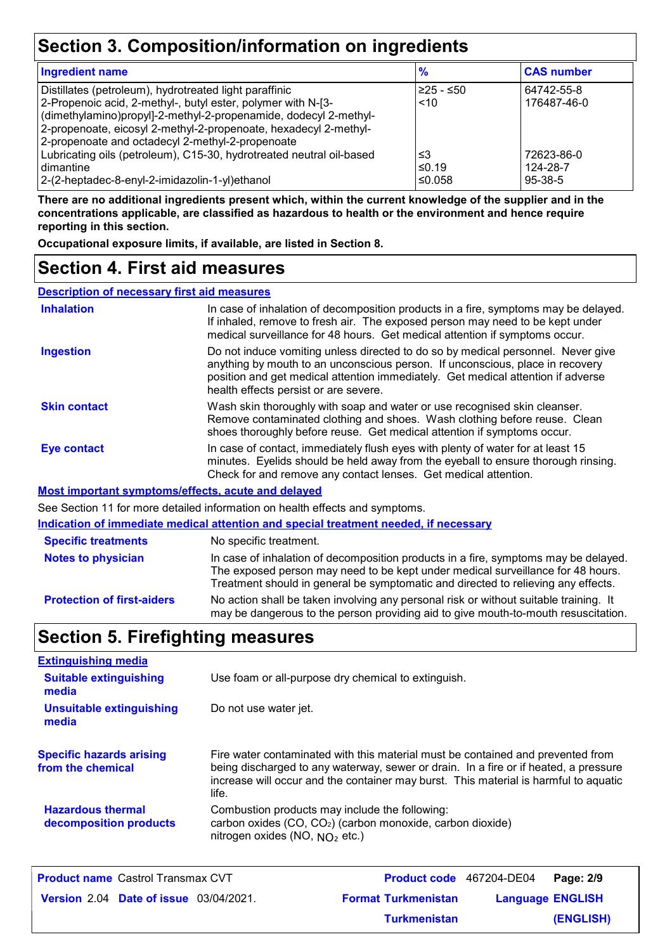### **Section 3. Composition/information on ingredients**

| <b>Ingredient name</b>                                               | $\frac{9}{6}$ | <b>CAS number</b> |  |
|----------------------------------------------------------------------|---------------|-------------------|--|
| Distillates (petroleum), hydrotreated light paraffinic               | $≥25 - ≤50$   | 64742-55-8        |  |
| 2-Propenoic acid, 2-methyl-, butyl ester, polymer with N-[3-         | ~10           | 176487-46-0       |  |
| (dimethylamino)propyl]-2-methyl-2-propenamide, dodecyl 2-methyl-     |               |                   |  |
| 2-propenoate, eicosyl 2-methyl-2-propenoate, hexadecyl 2-methyl-     |               |                   |  |
| 2-propenoate and octadecyl 2-methyl-2-propenoate                     |               |                   |  |
| Lubricating oils (petroleum), C15-30, hydrotreated neutral oil-based | ≤3            | 72623-86-0        |  |
| l dimantine                                                          | ≤0.19         | 124-28-7          |  |
| 2-(2-heptadec-8-enyl-2-imidazolin-1-yl)ethanol                       | ≤0.058        | $95-38-5$         |  |

**There are no additional ingredients present which, within the current knowledge of the supplier and in the concentrations applicable, are classified as hazardous to health or the environment and hence require reporting in this section.**

**Occupational exposure limits, if available, are listed in Section 8.**

### **Section 4. First aid measures**

**Description of necessary first aid measures**

| <b>Inhalation</b>                                  | In case of inhalation of decomposition products in a fire, symptoms may be delayed.<br>If inhaled, remove to fresh air. The exposed person may need to be kept under<br>medical surveillance for 48 hours. Get medical attention if symptoms occur.                                            |
|----------------------------------------------------|------------------------------------------------------------------------------------------------------------------------------------------------------------------------------------------------------------------------------------------------------------------------------------------------|
| <b>Ingestion</b>                                   | Do not induce vomiting unless directed to do so by medical personnel. Never give<br>anything by mouth to an unconscious person. If unconscious, place in recovery<br>position and get medical attention immediately. Get medical attention if adverse<br>health effects persist or are severe. |
| <b>Skin contact</b>                                | Wash skin thoroughly with soap and water or use recognised skin cleanser.<br>Remove contaminated clothing and shoes. Wash clothing before reuse. Clean<br>shoes thoroughly before reuse. Get medical attention if symptoms occur.                                                              |
| Eye contact                                        | In case of contact, immediately flush eyes with plenty of water for at least 15<br>minutes. Eyelids should be held away from the eyeball to ensure thorough rinsing.<br>Check for and remove any contact lenses. Get medical attention.                                                        |
| Most important symptoms/effects, acute and delayed |                                                                                                                                                                                                                                                                                                |
|                                                    | See Section 11 for more detailed information on health effects and symptoms.                                                                                                                                                                                                                   |
|                                                    | Indication of immediate medical attention and special treatment needed, if necessary                                                                                                                                                                                                           |
| <b>Specific treatments</b>                         | No specific treatment.                                                                                                                                                                                                                                                                         |
| <b>Notes to physician</b>                          | In case of inhalation of decomposition products in a fire, symptoms may be delayed.                                                                                                                                                                                                            |

**Protection of first-aiders** No action shall be taken involving any personal risk or without suitable training. It Treatment should in general be symptomatic and directed to relieving any effects.

may be dangerous to the person providing aid to give mouth-to-mouth resuscitation.

The exposed person may need to be kept under medical surveillance for 48 hours.

### **Section 5. Firefighting measures**

| <b>Extinguishing media</b>                           |                                                                                                                                                                                                                                                                          |
|------------------------------------------------------|--------------------------------------------------------------------------------------------------------------------------------------------------------------------------------------------------------------------------------------------------------------------------|
| <b>Suitable extinguishing</b><br>media               | Use foam or all-purpose dry chemical to extinguish.                                                                                                                                                                                                                      |
| <b>Unsuitable extinguishing</b><br>media             | Do not use water jet.                                                                                                                                                                                                                                                    |
| <b>Specific hazards arising</b><br>from the chemical | Fire water contaminated with this material must be contained and prevented from<br>being discharged to any waterway, sewer or drain. In a fire or if heated, a pressure<br>increase will occur and the container may burst. This material is harmful to aquatic<br>life. |
| <b>Hazardous thermal</b><br>decomposition products   | Combustion products may include the following:<br>carbon oxides (CO, CO <sub>2</sub> ) (carbon monoxide, carbon dioxide)<br>nitrogen oxides (NO, $NO2$ etc.)                                                                                                             |

| <b>Product name Castrol Transmax CVT</b>      |                            | Product code 467204-DE04 Page: 2/9 |           |
|-----------------------------------------------|----------------------------|------------------------------------|-----------|
| <b>Version 2.04 Date of issue 03/04/2021.</b> | <b>Format Turkmenistan</b> | <b>Language ENGLISH</b>            |           |
|                                               | <b>Turkmenistan</b>        |                                    | (ENGLISH) |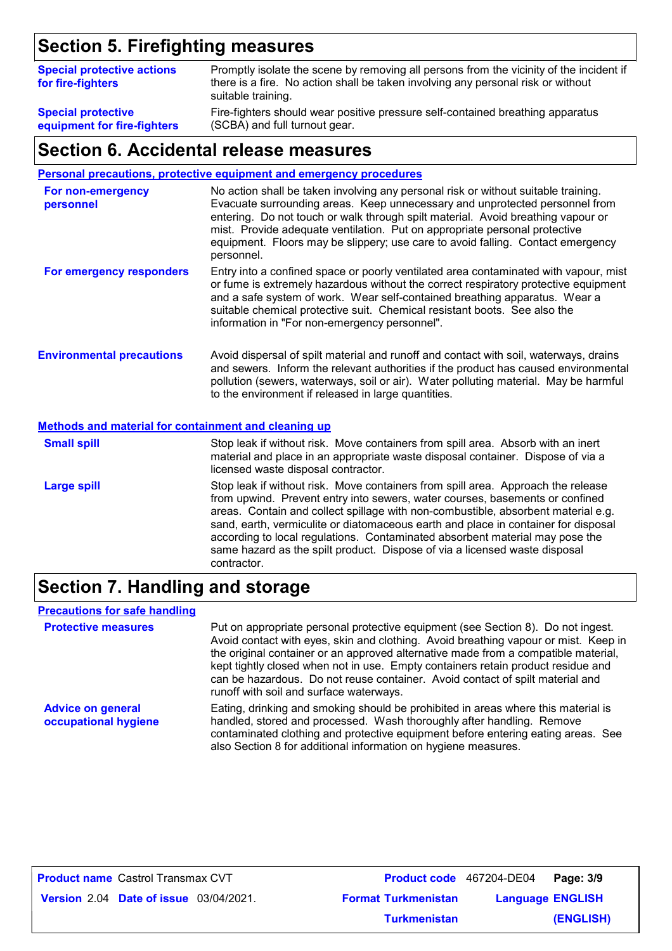### **Section 5. Firefighting measures**

| <b>Special protective actions</b><br>for fire-fighters | Promptly isolate the scene by removing all persons from the vicinity of the incident if<br>there is a fire. No action shall be taken involving any personal risk or without<br>suitable training. |
|--------------------------------------------------------|---------------------------------------------------------------------------------------------------------------------------------------------------------------------------------------------------|
| <b>Special protective</b>                              | Fire-fighters should wear positive pressure self-contained breathing apparatus                                                                                                                    |
| equipment for fire-fighters                            | (SCBA) and full turnout gear.                                                                                                                                                                     |

### **Section 6. Accidental release measures**

#### **Personal precautions, protective equipment and emergency procedures**

| For non-emergency<br>personnel   | No action shall be taken involving any personal risk or without suitable training.<br>Evacuate surrounding areas. Keep unnecessary and unprotected personnel from<br>entering. Do not touch or walk through spilt material. Avoid breathing vapour or<br>mist. Provide adequate ventilation. Put on appropriate personal protective<br>equipment. Floors may be slippery; use care to avoid falling. Contact emergency<br>personnel. |
|----------------------------------|--------------------------------------------------------------------------------------------------------------------------------------------------------------------------------------------------------------------------------------------------------------------------------------------------------------------------------------------------------------------------------------------------------------------------------------|
| For emergency responders         | Entry into a confined space or poorly ventilated area contaminated with vapour, mist<br>or fume is extremely hazardous without the correct respiratory protective equipment<br>and a safe system of work. Wear self-contained breathing apparatus. Wear a<br>suitable chemical protective suit. Chemical resistant boots. See also the<br>information in "For non-emergency personnel".                                              |
| <b>Environmental precautions</b> | Avoid dispersal of spilt material and runoff and contact with soil, waterways, drains<br>and sewers. Inform the relevant authorities if the product has caused environmental<br>pollution (sewers, waterways, soil or air). Water polluting material. May be harmful<br>to the environment if released in large quantities.                                                                                                          |

#### **Methods and material for containment and cleaning up**

| <b>Small spill</b> | Stop leak if without risk. Move containers from spill area. Absorb with an inert<br>material and place in an appropriate waste disposal container. Dispose of via a<br>licensed waste disposal contractor.                                                                                                                                                                                                                                                                                                               |
|--------------------|--------------------------------------------------------------------------------------------------------------------------------------------------------------------------------------------------------------------------------------------------------------------------------------------------------------------------------------------------------------------------------------------------------------------------------------------------------------------------------------------------------------------------|
| <b>Large spill</b> | Stop leak if without risk. Move containers from spill area. Approach the release<br>from upwind. Prevent entry into sewers, water courses, basements or confined<br>areas. Contain and collect spillage with non-combustible, absorbent material e.g.<br>sand, earth, vermiculite or diatomaceous earth and place in container for disposal<br>according to local regulations. Contaminated absorbent material may pose the<br>same hazard as the spilt product. Dispose of via a licensed waste disposal<br>contractor. |

### **Section 7. Handling and storage**

#### **Precautions for safe handling**

| <b>Protective measures</b>                       | Put on appropriate personal protective equipment (see Section 8). Do not ingest.<br>Avoid contact with eyes, skin and clothing. Avoid breathing vapour or mist. Keep in<br>the original container or an approved alternative made from a compatible material,<br>kept tightly closed when not in use. Empty containers retain product residue and<br>can be hazardous. Do not reuse container. Avoid contact of spilt material and<br>runoff with soil and surface waterways. |
|--------------------------------------------------|-------------------------------------------------------------------------------------------------------------------------------------------------------------------------------------------------------------------------------------------------------------------------------------------------------------------------------------------------------------------------------------------------------------------------------------------------------------------------------|
| <b>Advice on general</b><br>occupational hygiene | Eating, drinking and smoking should be prohibited in areas where this material is<br>handled, stored and processed. Wash thoroughly after handling. Remove<br>contaminated clothing and protective equipment before entering eating areas. See<br>also Section 8 for additional information on hygiene measures.                                                                                                                                                              |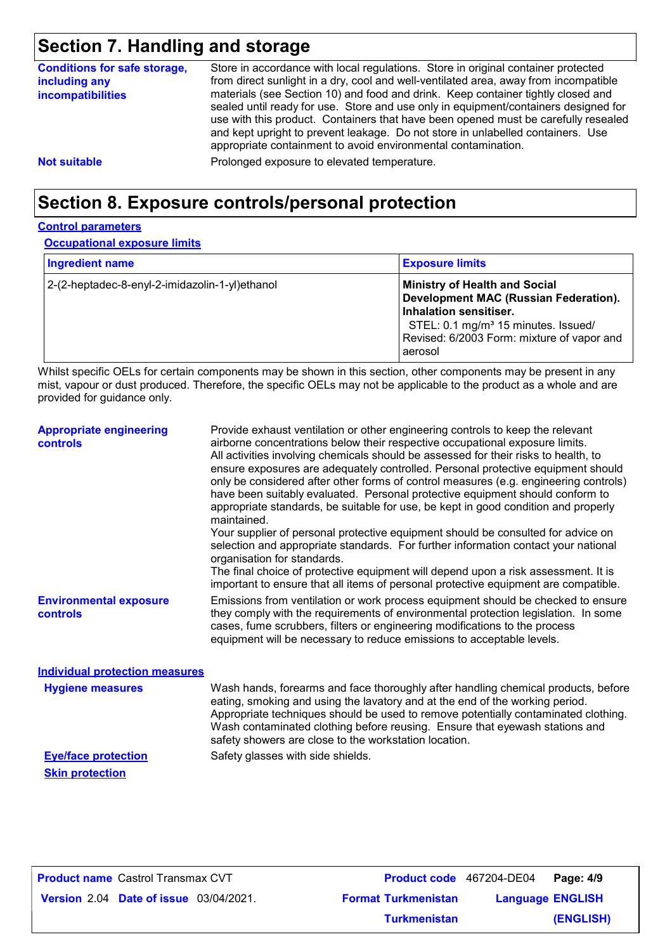### **Section 7. Handling and storage**

| <b>Conditions for safe storage,</b><br>including any<br><b>incompatibilities</b> | Store in accordance with local regulations. Store in original container protected<br>from direct sunlight in a dry, cool and well-ventilated area, away from incompatible<br>materials (see Section 10) and food and drink. Keep container tightly closed and<br>sealed until ready for use. Store and use only in equipment/containers designed for<br>use with this product. Containers that have been opened must be carefully resealed<br>and kept upright to prevent leakage. Do not store in unlabelled containers. Use<br>appropriate containment to avoid environmental contamination. |
|----------------------------------------------------------------------------------|------------------------------------------------------------------------------------------------------------------------------------------------------------------------------------------------------------------------------------------------------------------------------------------------------------------------------------------------------------------------------------------------------------------------------------------------------------------------------------------------------------------------------------------------------------------------------------------------|
| <b>Not suitable</b>                                                              | Prolonged exposure to elevated temperature.                                                                                                                                                                                                                                                                                                                                                                                                                                                                                                                                                    |

### **Section 8. Exposure controls/personal protection**

#### **Control parameters**

**Occupational exposure limits**

| <b>Ingredient name</b>                         | <b>Exposure limits</b>                                                                                                                                                                                              |
|------------------------------------------------|---------------------------------------------------------------------------------------------------------------------------------------------------------------------------------------------------------------------|
| 2-(2-heptadec-8-enyl-2-imidazolin-1-yl)ethanol | <b>Ministry of Health and Social</b><br>Development MAC (Russian Federation).<br>Inhalation sensitiser.<br>STEL: 0.1 mg/m <sup>3</sup> 15 minutes. Issued/<br>Revised: 6/2003 Form: mixture of vapor and<br>aerosol |

Whilst specific OELs for certain components may be shown in this section, other components may be present in any mist, vapour or dust produced. Therefore, the specific OELs may not be applicable to the product as a whole and are provided for guidance only.

| <b>Appropriate engineering</b><br><b>controls</b> | Provide exhaust ventilation or other engineering controls to keep the relevant<br>airborne concentrations below their respective occupational exposure limits.<br>All activities involving chemicals should be assessed for their risks to health, to<br>ensure exposures are adequately controlled. Personal protective equipment should<br>only be considered after other forms of control measures (e.g. engineering controls)<br>have been suitably evaluated. Personal protective equipment should conform to<br>appropriate standards, be suitable for use, be kept in good condition and properly<br>maintained.<br>Your supplier of personal protective equipment should be consulted for advice on<br>selection and appropriate standards. For further information contact your national<br>organisation for standards.<br>The final choice of protective equipment will depend upon a risk assessment. It is<br>important to ensure that all items of personal protective equipment are compatible. |
|---------------------------------------------------|---------------------------------------------------------------------------------------------------------------------------------------------------------------------------------------------------------------------------------------------------------------------------------------------------------------------------------------------------------------------------------------------------------------------------------------------------------------------------------------------------------------------------------------------------------------------------------------------------------------------------------------------------------------------------------------------------------------------------------------------------------------------------------------------------------------------------------------------------------------------------------------------------------------------------------------------------------------------------------------------------------------|
| <b>Environmental exposure</b><br><b>controls</b>  | Emissions from ventilation or work process equipment should be checked to ensure<br>they comply with the requirements of environmental protection legislation. In some<br>cases, fume scrubbers, filters or engineering modifications to the process<br>equipment will be necessary to reduce emissions to acceptable levels.                                                                                                                                                                                                                                                                                                                                                                                                                                                                                                                                                                                                                                                                                 |
| <b>Individual protection measures</b>             |                                                                                                                                                                                                                                                                                                                                                                                                                                                                                                                                                                                                                                                                                                                                                                                                                                                                                                                                                                                                               |
| <b>Hygiene measures</b>                           | Wash hands, forearms and face thoroughly after handling chemical products, before<br>eating, smoking and using the lavatory and at the end of the working period.<br>Appropriate techniques should be used to remove potentially contaminated clothing.<br>Wash contaminated clothing before reusing. Ensure that eyewash stations and<br>safety showers are close to the workstation location.                                                                                                                                                                                                                                                                                                                                                                                                                                                                                                                                                                                                               |

**Skin protection**

**Eye/face protection** Safety glasses with side shields.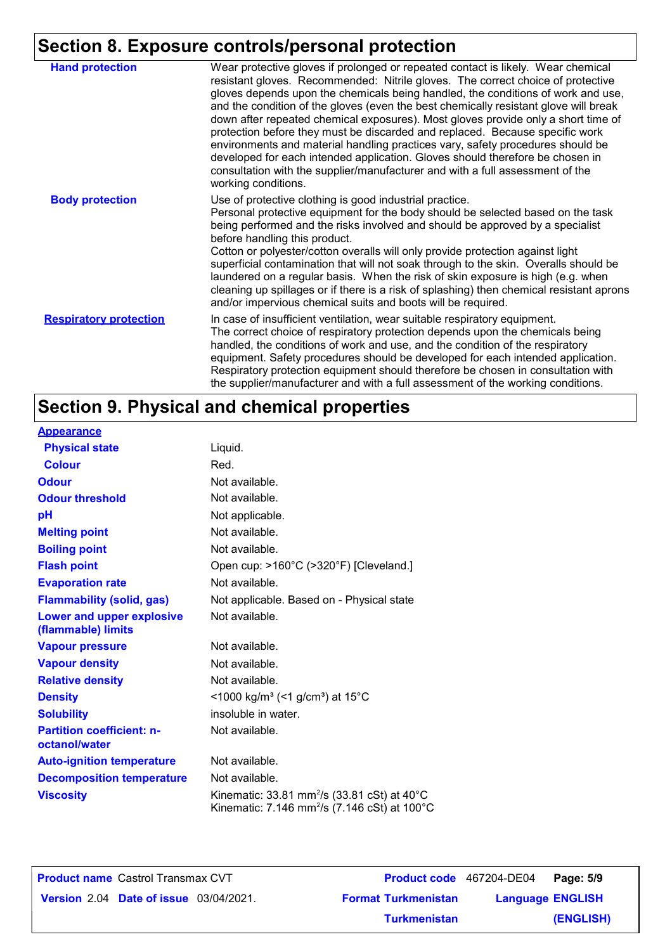## **Section 8. Exposure controls/personal protection**

| <b>Hand protection</b>        | Wear protective gloves if prolonged or repeated contact is likely. Wear chemical<br>resistant gloves. Recommended: Nitrile gloves. The correct choice of protective<br>gloves depends upon the chemicals being handled, the conditions of work and use,<br>and the condition of the gloves (even the best chemically resistant glove will break<br>down after repeated chemical exposures). Most gloves provide only a short time of<br>protection before they must be discarded and replaced. Because specific work<br>environments and material handling practices vary, safety procedures should be<br>developed for each intended application. Gloves should therefore be chosen in<br>consultation with the supplier/manufacturer and with a full assessment of the<br>working conditions. |
|-------------------------------|-------------------------------------------------------------------------------------------------------------------------------------------------------------------------------------------------------------------------------------------------------------------------------------------------------------------------------------------------------------------------------------------------------------------------------------------------------------------------------------------------------------------------------------------------------------------------------------------------------------------------------------------------------------------------------------------------------------------------------------------------------------------------------------------------|
| <b>Body protection</b>        | Use of protective clothing is good industrial practice.<br>Personal protective equipment for the body should be selected based on the task<br>being performed and the risks involved and should be approved by a specialist<br>before handling this product.<br>Cotton or polyester/cotton overalls will only provide protection against light<br>superficial contamination that will not soak through to the skin. Overalls should be<br>laundered on a regular basis. When the risk of skin exposure is high (e.g. when<br>cleaning up spillages or if there is a risk of splashing) then chemical resistant aprons<br>and/or impervious chemical suits and boots will be required.                                                                                                           |
| <b>Respiratory protection</b> | In case of insufficient ventilation, wear suitable respiratory equipment.<br>The correct choice of respiratory protection depends upon the chemicals being<br>handled, the conditions of work and use, and the condition of the respiratory<br>equipment. Safety procedures should be developed for each intended application.<br>Respiratory protection equipment should therefore be chosen in consultation with<br>the supplier/manufacturer and with a full assessment of the working conditions.                                                                                                                                                                                                                                                                                           |

## **Section 9. Physical and chemical properties**

| <b>Appearance</b>                                 |                                                                                                                                          |
|---------------------------------------------------|------------------------------------------------------------------------------------------------------------------------------------------|
| <b>Physical state</b>                             | Liquid.                                                                                                                                  |
| <b>Colour</b>                                     | Red.                                                                                                                                     |
| <b>Odour</b>                                      | Not available.                                                                                                                           |
| <b>Odour threshold</b>                            | Not available.                                                                                                                           |
| pH                                                | Not applicable.                                                                                                                          |
| <b>Melting point</b>                              | Not available.                                                                                                                           |
| <b>Boiling point</b>                              | Not available.                                                                                                                           |
| <b>Flash point</b>                                | Open cup: >160°C (>320°F) [Cleveland.]                                                                                                   |
| <b>Evaporation rate</b>                           | Not available.                                                                                                                           |
| <b>Flammability (solid, gas)</b>                  | Not applicable. Based on - Physical state                                                                                                |
| Lower and upper explosive<br>(flammable) limits   | Not available.                                                                                                                           |
| <b>Vapour pressure</b>                            | Not available.                                                                                                                           |
| <b>Vapour density</b>                             | Not available.                                                                                                                           |
| <b>Relative density</b>                           | Not available.                                                                                                                           |
| <b>Density</b>                                    | <1000 kg/m <sup>3</sup> (<1 g/cm <sup>3</sup> ) at 15 <sup>°</sup> C                                                                     |
| <b>Solubility</b>                                 | insoluble in water.                                                                                                                      |
| <b>Partition coefficient: n-</b><br>octanol/water | Not available.                                                                                                                           |
| <b>Auto-ignition temperature</b>                  | Not available.                                                                                                                           |
| <b>Decomposition temperature</b>                  | Not available.                                                                                                                           |
| <b>Viscosity</b>                                  | Kinematic: 33.81 mm <sup>2</sup> /s (33.81 cSt) at $40^{\circ}$ C<br>Kinematic: 7.146 mm <sup>2</sup> /s (7.146 cSt) at 100 $^{\circ}$ C |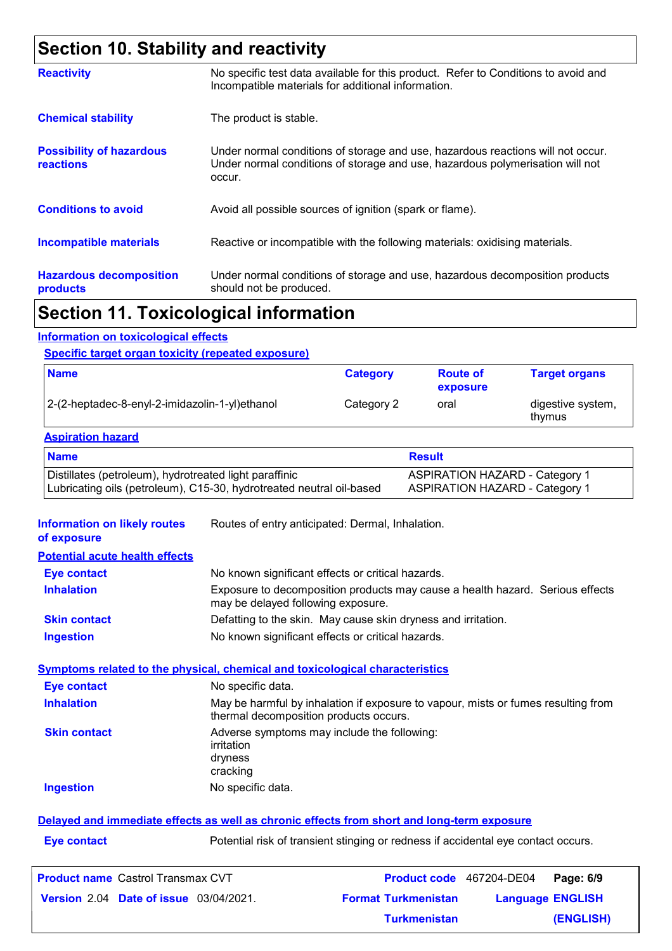### **Section 10. Stability and reactivity**

|                                                     | The continued to the contribution of the contribution of the contribution of the contribution of the                                                                       |
|-----------------------------------------------------|----------------------------------------------------------------------------------------------------------------------------------------------------------------------------|
| <b>Hazardous decomposition</b><br>products          | Under normal conditions of storage and use, hazardous decomposition products<br>should not be produced.                                                                    |
| <b>Incompatible materials</b>                       | Reactive or incompatible with the following materials: oxidising materials.                                                                                                |
| <b>Conditions to avoid</b>                          | Avoid all possible sources of ignition (spark or flame).                                                                                                                   |
| <b>Possibility of hazardous</b><br><b>reactions</b> | Under normal conditions of storage and use, hazardous reactions will not occur.<br>Under normal conditions of storage and use, hazardous polymerisation will not<br>occur. |
| <b>Chemical stability</b>                           | The product is stable.                                                                                                                                                     |
| <b>Reactivity</b>                                   | No specific test data available for this product. Refer to Conditions to avoid and<br>Incompatible materials for additional information.                                   |

### **Section 11. Toxicological information**

### **Information on toxicological effects**

#### **Specific target organ toxicity (repeated exposure)**

| <b>Name</b>                                    | <b>Category</b> | <b>Route of</b><br>exposure | <b>Target organs</b>        |
|------------------------------------------------|-----------------|-----------------------------|-----------------------------|
| 2-(2-heptadec-8-enyl-2-imidazolin-1-yl)ethanol | Category 2      | oral                        | digestive system,<br>thymus |

#### **Aspiration hazard**

| <b>Name</b>                                                          | <b>Result</b>                         |
|----------------------------------------------------------------------|---------------------------------------|
| Distillates (petroleum), hydrotreated light paraffinic               | <b>ASPIRATION HAZARD - Category 1</b> |
| Lubricating oils (petroleum), C15-30, hydrotreated neutral oil-based | <b>ASPIRATION HAZARD - Category 1</b> |

**Information on likely routes**  Routes of entry anticipated: Dermal, Inhalation.

|  | of exposure |  |  |
|--|-------------|--|--|
|--|-------------|--|--|

| <b>Eve contact</b>  | No known significant effects or critical hazards.                                                                   |
|---------------------|---------------------------------------------------------------------------------------------------------------------|
| <b>Inhalation</b>   | Exposure to decomposition products may cause a health hazard. Serious effects<br>may be delayed following exposure. |
| <b>Skin contact</b> | Defatting to the skin. May cause skin dryness and irritation.                                                       |
| <b>Ingestion</b>    | No known significant effects or critical hazards.                                                                   |

#### **Symptoms related to the physical, chemical and toxicological characteristics**

| <b>Eye contact</b>  | No specific data.                                                                                                           |
|---------------------|-----------------------------------------------------------------------------------------------------------------------------|
| <b>Inhalation</b>   | May be harmful by inhalation if exposure to vapour, mists or fumes resulting from<br>thermal decomposition products occurs. |
| <b>Skin contact</b> | Adverse symptoms may include the following:<br>irritation<br>dryness<br>cracking                                            |
| <b>Ingestion</b>    | No specific data.                                                                                                           |
|                     |                                                                                                                             |

#### **Delayed and immediate effects as well as chronic effects from short and long-term exposure**

**Eye contact Exercise 2018** Potential risk of transient stinging or redness if accidental eye contact occurs.

| <b>Product name</b> Castrol Transmax CVT      |                            | <b>Product code</b> 467204-DE04 Page: 6/9 |
|-----------------------------------------------|----------------------------|-------------------------------------------|
| <b>Version 2.04 Date of issue 03/04/2021.</b> | <b>Format Turkmenistan</b> | <b>Language ENGLISH</b>                   |
|                                               | <b>Turkmenistan</b>        | (ENGLISH)                                 |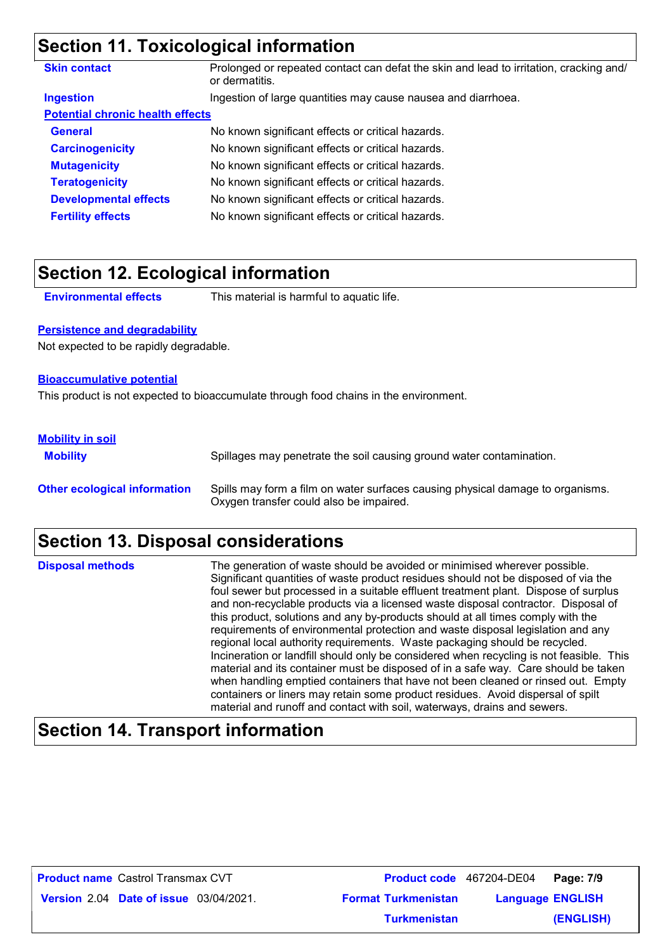### **Section 11. Toxicological information**

| <b>Skin contact</b>                     | Prolonged or repeated contact can defat the skin and lead to irritation, cracking and/<br>or dermatitis. |
|-----------------------------------------|----------------------------------------------------------------------------------------------------------|
| <b>Ingestion</b>                        | Ingestion of large quantities may cause nausea and diarrhoea.                                            |
| <b>Potential chronic health effects</b> |                                                                                                          |
| <b>General</b>                          | No known significant effects or critical hazards.                                                        |
| <b>Carcinogenicity</b>                  | No known significant effects or critical hazards.                                                        |
| <b>Mutagenicity</b>                     | No known significant effects or critical hazards.                                                        |
| <b>Teratogenicity</b>                   | No known significant effects or critical hazards.                                                        |
| <b>Developmental effects</b>            | No known significant effects or critical hazards.                                                        |
| <b>Fertility effects</b>                | No known significant effects or critical hazards.                                                        |

### **Section 12. Ecological information**

**Environmental effects** This material is harmful to aquatic life.

#### **Persistence and degradability**

Not expected to be rapidly degradable.

#### **Bioaccumulative potential**

This product is not expected to bioaccumulate through food chains in the environment.

#### **Mobility in soil**

**Mobility** Spillages may penetrate the soil causing ground water contamination. **Other ecological information** Spills may form a film on water surfaces causing physical damage to organisms. Oxygen transfer could also be impaired.

### **Section 13. Disposal considerations**

The generation of waste should be avoided or minimised wherever possible. Significant quantities of waste product residues should not be disposed of via the foul sewer but processed in a suitable effluent treatment plant. Dispose of surplus and non-recyclable products via a licensed waste disposal contractor. Disposal of this product, solutions and any by-products should at all times comply with the requirements of environmental protection and waste disposal legislation and any regional local authority requirements. Waste packaging should be recycled. Incineration or landfill should only be considered when recycling is not feasible. This material and its container must be disposed of in a safe way. Care should be taken when handling emptied containers that have not been cleaned or rinsed out. Empty containers or liners may retain some product residues. Avoid dispersal of spilt material and runoff and contact with soil, waterways, drains and sewers. **Disposal methods**

### **Section 14. Transport information**

| <b>Product name</b> Castrol Transmax CVT      |                            | Product code 467204-DE04 Page: 7/9 |                         |
|-----------------------------------------------|----------------------------|------------------------------------|-------------------------|
| <b>Version 2.04 Date of issue 03/04/2021.</b> | <b>Format Turkmenistan</b> |                                    | <b>Language ENGLISH</b> |
|                                               | <b>Turkmenistan</b>        |                                    | (ENGLISH)               |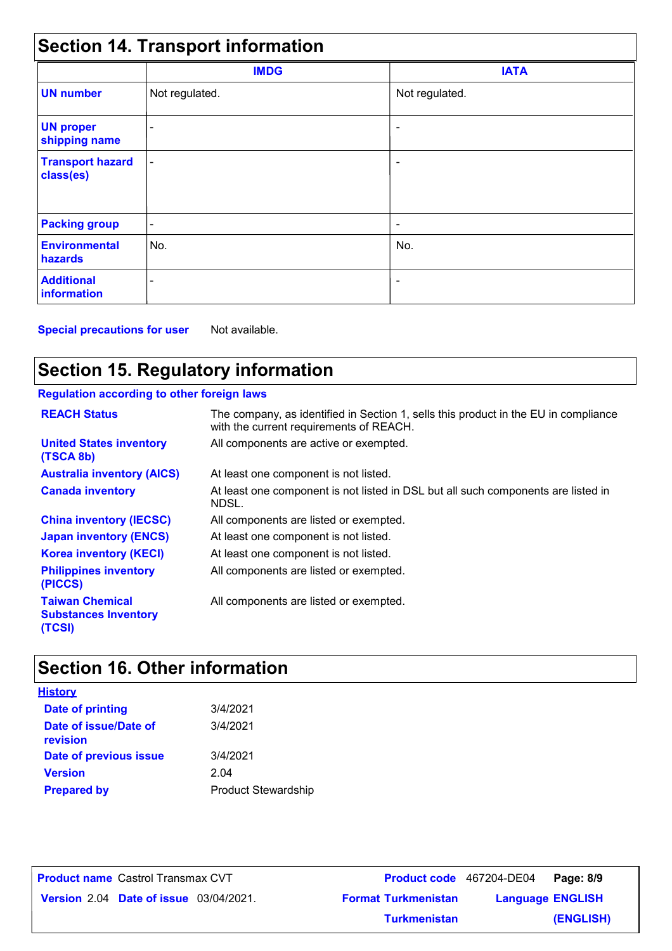| <b>Section 14. Transport information</b> |                          |                          |  |  |  |
|------------------------------------------|--------------------------|--------------------------|--|--|--|
|                                          | <b>IMDG</b>              | <b>IATA</b>              |  |  |  |
| <b>UN number</b>                         | Not regulated.           | Not regulated.           |  |  |  |
| <b>UN proper</b><br>shipping name        |                          |                          |  |  |  |
| <b>Transport hazard</b><br>class(es)     | $\overline{\phantom{a}}$ | ٠                        |  |  |  |
| <b>Packing group</b>                     | $\overline{\phantom{a}}$ | $\overline{\phantom{a}}$ |  |  |  |
| <b>Environmental</b><br>hazards          | No.                      | No.                      |  |  |  |
| <b>Additional</b><br><b>information</b>  |                          | $\overline{\phantom{a}}$ |  |  |  |

**Special precautions for user** Not available.

### **Section 15. Regulatory information**

### **Regulation according to other foreign laws**

| <b>REACH Status</b>                                             | The company, as identified in Section 1, sells this product in the EU in compliance<br>with the current requirements of REACH. |
|-----------------------------------------------------------------|--------------------------------------------------------------------------------------------------------------------------------|
| <b>United States inventory</b><br>(TSCA 8b)                     | All components are active or exempted.                                                                                         |
| <b>Australia inventory (AICS)</b>                               | At least one component is not listed.                                                                                          |
| <b>Canada inventory</b>                                         | At least one component is not listed in DSL but all such components are listed in<br>NDSL.                                     |
| <b>China inventory (IECSC)</b>                                  | All components are listed or exempted.                                                                                         |
| <b>Japan inventory (ENCS)</b>                                   | At least one component is not listed.                                                                                          |
| <b>Korea inventory (KECI)</b>                                   | At least one component is not listed.                                                                                          |
| <b>Philippines inventory</b><br>(PICCS)                         | All components are listed or exempted.                                                                                         |
| <b>Taiwan Chemical</b><br><b>Substances Inventory</b><br>(TCSI) | All components are listed or exempted.                                                                                         |

## **Section 16. Other information**

| <u>History</u>                    |                            |
|-----------------------------------|----------------------------|
| Date of printing                  | 3/4/2021                   |
| Date of issue/Date of<br>revision | 3/4/2021                   |
| Date of previous issue            | 3/4/2021                   |
| <b>Version</b>                    | 2.04                       |
| <b>Prepared by</b>                | <b>Product Stewardship</b> |

**Date of issue** 03/04/2021. **Version** 2.04 **Format Turkmenistan Language** Castrol Transmax CVT **Page: 8/9** 467204-DE04 **Language ENGLISH (ENGLISH) Product name** Castrol Transmax CVT **Turkmenistan**